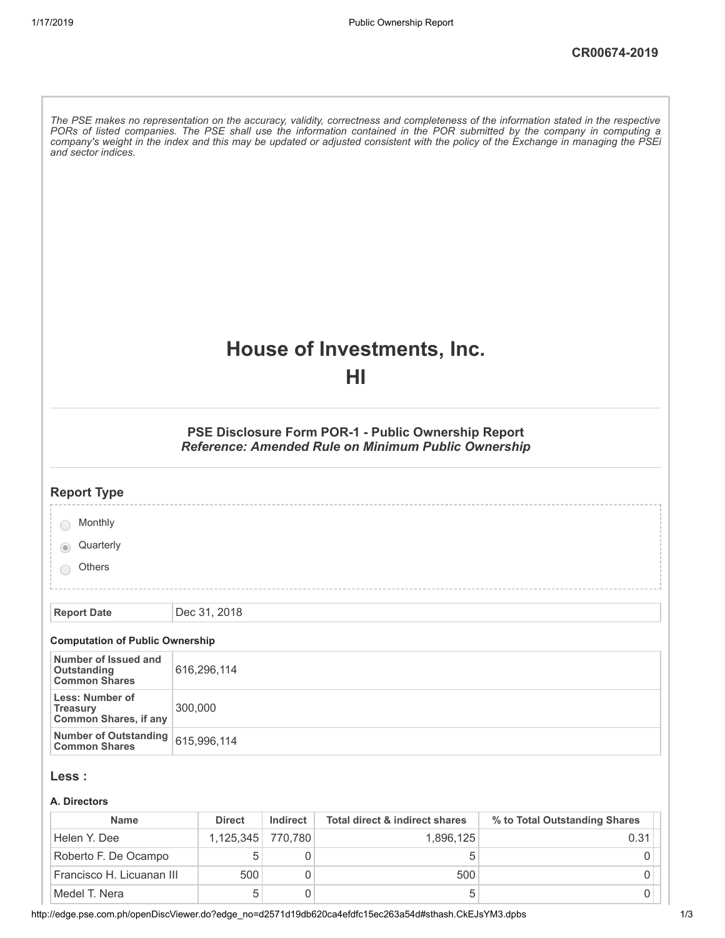| and sector indices.                                                |             |                |                                |                                                                                                                   | The PSE makes no representation on the accuracy, validity, correctness and completeness of the information stated in the respective<br>PORs of listed companies. The PSE shall use the information contained in the POR submitted by the company in computing a<br>company's weight in the index and this may be updated or adjusted consistent with the policy of the Exchange in managing the PSEi |
|--------------------------------------------------------------------|-------------|----------------|--------------------------------|-------------------------------------------------------------------------------------------------------------------|------------------------------------------------------------------------------------------------------------------------------------------------------------------------------------------------------------------------------------------------------------------------------------------------------------------------------------------------------------------------------------------------------|
|                                                                    |             |                |                                | House of Investments, Inc.<br>НΙ                                                                                  |                                                                                                                                                                                                                                                                                                                                                                                                      |
|                                                                    |             |                |                                | PSE Disclosure Form POR-1 - Public Ownership Report<br><b>Reference: Amended Rule on Minimum Public Ownership</b> |                                                                                                                                                                                                                                                                                                                                                                                                      |
| <b>Report Type</b>                                                 |             |                |                                |                                                                                                                   |                                                                                                                                                                                                                                                                                                                                                                                                      |
| Monthly                                                            |             |                |                                |                                                                                                                   |                                                                                                                                                                                                                                                                                                                                                                                                      |
| Quarterly                                                          |             |                |                                |                                                                                                                   |                                                                                                                                                                                                                                                                                                                                                                                                      |
| <b>Others</b>                                                      |             |                |                                |                                                                                                                   |                                                                                                                                                                                                                                                                                                                                                                                                      |
|                                                                    |             | Dec 31, 2018   |                                |                                                                                                                   |                                                                                                                                                                                                                                                                                                                                                                                                      |
| <b>Report Date</b>                                                 |             |                |                                |                                                                                                                   |                                                                                                                                                                                                                                                                                                                                                                                                      |
| <b>Computation of Public Ownership</b>                             |             |                |                                |                                                                                                                   |                                                                                                                                                                                                                                                                                                                                                                                                      |
| Number of Issued and<br><b>Outstanding</b><br><b>Common Shares</b> | 616,296,114 |                |                                |                                                                                                                   |                                                                                                                                                                                                                                                                                                                                                                                                      |
| Less: Number of<br><b>Treasury</b><br><b>Common Shares, if any</b> | 300,000     |                |                                |                                                                                                                   |                                                                                                                                                                                                                                                                                                                                                                                                      |
| <b>Number of Outstanding</b><br><b>Common Shares</b>               |             | 615,996,114    |                                |                                                                                                                   |                                                                                                                                                                                                                                                                                                                                                                                                      |
| Less :                                                             |             |                |                                |                                                                                                                   |                                                                                                                                                                                                                                                                                                                                                                                                      |
| A. Directors                                                       |             |                |                                |                                                                                                                   |                                                                                                                                                                                                                                                                                                                                                                                                      |
| <b>Name</b>                                                        |             | <b>Direct</b>  | <b>Indirect</b>                | <b>Total direct &amp; indirect shares</b>                                                                         | % to Total Outstanding Shares                                                                                                                                                                                                                                                                                                                                                                        |
| Helen Y. Dee<br>Roberto F. De Ocampo                               |             | 1,125,345<br>5 | 770,780<br>$\mathsf{O}\xspace$ | 1,896,125<br>5                                                                                                    | 0.31<br>0                                                                                                                                                                                                                                                                                                                                                                                            |
|                                                                    |             |                |                                |                                                                                                                   |                                                                                                                                                                                                                                                                                                                                                                                                      |

Francisco H. Licuanan III 500 0 500 0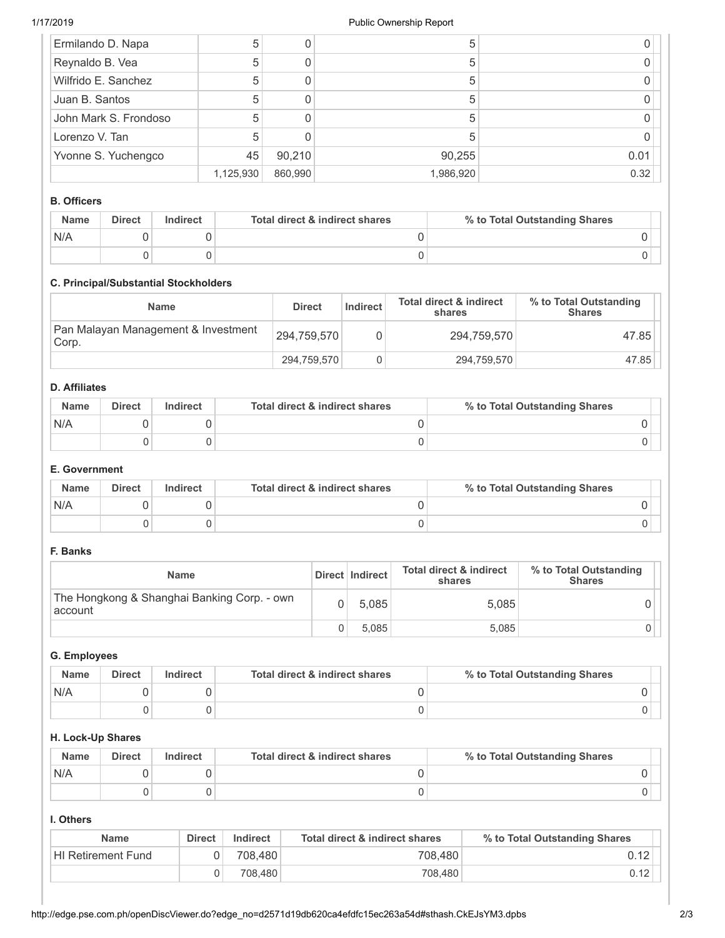| Ermilando D. Napa     | 5         |         | b         |      |
|-----------------------|-----------|---------|-----------|------|
| Reynaldo B. Vea       | 5         |         | b         |      |
| Wilfrido E. Sanchez   | 5         |         |           |      |
| Juan B. Santos        | 5         |         | 5         |      |
| John Mark S. Frondoso | 5         |         | 5         |      |
| Lorenzo V. Tan        |           |         |           |      |
| Yvonne S. Yuchengco   | 45        | 90,210  | 90,255    | 0.01 |
|                       | 1,125,930 | 860,990 | 1,986,920 | 0.32 |

### **B. Officers**

| <b>Name</b> | <b>Direct</b> | <b>Indirect</b> | Total direct & indirect shares | % to Total Outstanding Shares |
|-------------|---------------|-----------------|--------------------------------|-------------------------------|
| N/A         |               |                 |                                |                               |
|             |               |                 |                                |                               |

# **C. Principal/Substantial Stockholders**

| Name                                         | <b>Direct</b> | Indirect | <b>Total direct &amp; indirect</b><br>shares | % to Total Outstanding<br><b>Shares</b> |
|----------------------------------------------|---------------|----------|----------------------------------------------|-----------------------------------------|
| Pan Malayan Management & Investment<br>Corp. | 294.759.570   |          | 294.759.570                                  | 47.85                                   |
|                                              | 294,759,570   |          | 294,759,570                                  | 47.85                                   |

## **D. Affiliates**

| <b>Name</b> | <b>Direct</b> | Indirect | Total direct & indirect shares | % to Total Outstanding Shares |
|-------------|---------------|----------|--------------------------------|-------------------------------|
| N/A         |               |          |                                |                               |
|             |               |          |                                |                               |

### **E. Government**

| <b>Name</b> | <b>Direct</b> | Indirect | Total direct & indirect shares | % to Total Outstanding Shares |
|-------------|---------------|----------|--------------------------------|-------------------------------|
| N/A         |               |          |                                |                               |
|             |               |          |                                |                               |

### **F. Banks**

| <b>Name</b>                                            | Direct   Indirect | <b>Total direct &amp; indirect</b><br>shares | % to Total Outstanding<br><b>Shares</b> |
|--------------------------------------------------------|-------------------|----------------------------------------------|-----------------------------------------|
| The Hongkong & Shanghai Banking Corp. - own<br>account | 5.085             | 5,085                                        |                                         |
|                                                        | 5.085             | 5,085                                        |                                         |

# **G. Employees**

| <b>Name</b> | <b>Direct</b> | Indirect | Total direct & indirect shares | % to Total Outstanding Shares |
|-------------|---------------|----------|--------------------------------|-------------------------------|
| N/A         |               |          |                                |                               |
|             |               |          |                                |                               |

#### **H. Lock-Up Shares**

| <b>Name</b> | <b>Direct</b> | Indirect | Total direct & indirect shares | % to Total Outstanding Shares |
|-------------|---------------|----------|--------------------------------|-------------------------------|
| N/A         |               |          |                                |                               |
|             |               |          |                                |                               |

#### **I. Others**

| <b>Name</b>               | <b>Direct</b> | Indirect | Total direct & indirect shares | % to Total Outstanding Shares |
|---------------------------|---------------|----------|--------------------------------|-------------------------------|
| <b>HI Retirement Fund</b> |               | 708.480  | 708.480                        | 0.12                          |
|                           |               | 708.480  | 708,480                        |                               |